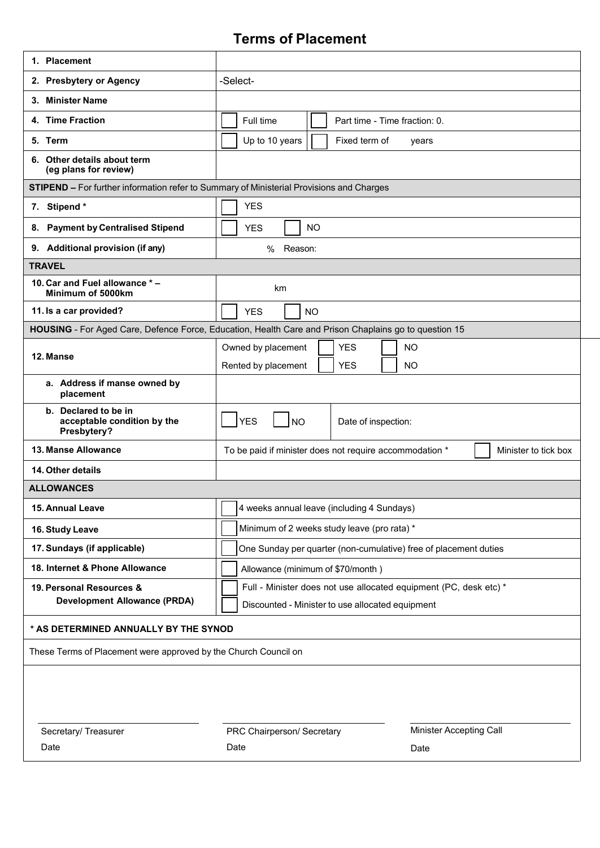## **Terms of Placement**

| 1. Placement                                                                                          |                                                                                                                       |
|-------------------------------------------------------------------------------------------------------|-----------------------------------------------------------------------------------------------------------------------|
| 2. Presbytery or Agency                                                                               | -Select-                                                                                                              |
| 3. Minister Name                                                                                      |                                                                                                                       |
| 4. Time Fraction                                                                                      | Full time<br>Part time - Time fraction: 0.                                                                            |
| 5. Term                                                                                               | Up to 10 years<br>Fixed term of<br>years                                                                              |
| 6. Other details about term<br>(eg plans for review)                                                  |                                                                                                                       |
| STIPEND - For further information refer to Summary of Ministerial Provisions and Charges              |                                                                                                                       |
| 7. Stipend*                                                                                           | <b>YES</b>                                                                                                            |
| <b>Payment by Centralised Stipend</b><br>8.                                                           | <b>NO</b><br><b>YES</b>                                                                                               |
| 9. Additional provision (if any)                                                                      | $\%$<br>Reason:                                                                                                       |
| <b>TRAVEL</b>                                                                                         |                                                                                                                       |
| 10. Car and Fuel allowance * -<br>Minimum of 5000km                                                   | km                                                                                                                    |
| 11. Is a car provided?                                                                                | <b>YES</b><br><b>NO</b>                                                                                               |
| HOUSING - For Aged Care, Defence Force, Education, Health Care and Prison Chaplains go to question 15 |                                                                                                                       |
| 12. Manse                                                                                             | <b>YES</b><br>Owned by placement<br><b>NO</b><br><b>YES</b><br><b>NO</b><br>Rented by placement                       |
| a. Address if manse owned by<br>placement                                                             |                                                                                                                       |
| b. Declared to be in<br>acceptable condition by the<br>Presbytery?                                    | <b>YES</b><br><b>NO</b><br>Date of inspection:                                                                        |
| 13. Manse Allowance                                                                                   | To be paid if minister does not require accommodation *<br>Minister to tick box                                       |
| 14. Other details                                                                                     |                                                                                                                       |
| <b>ALLOWANCES</b>                                                                                     |                                                                                                                       |
| 15. Annual Leave                                                                                      | 4 weeks annual leave (including 4 Sundays)                                                                            |
| 16. Study Leave                                                                                       | Minimum of 2 weeks study leave (pro rata) *                                                                           |
| 17. Sundays (if applicable)                                                                           | One Sunday per quarter (non-cumulative) free of placement duties                                                      |
| 18. Internet & Phone Allowance                                                                        | Allowance (minimum of \$70/month)                                                                                     |
| 19. Personal Resources &<br><b>Development Allowance (PRDA)</b>                                       | Full - Minister does not use allocated equipment (PC, desk etc) *<br>Discounted - Minister to use allocated equipment |
| * AS DETERMINED ANNUALLY BY THE SYNOD                                                                 |                                                                                                                       |
| These Terms of Placement were approved by the Church Council on                                       |                                                                                                                       |
|                                                                                                       |                                                                                                                       |
| Secretary/ Treasurer                                                                                  | Minister Accepting Call<br>PRC Chairperson/ Secretary                                                                 |
| Date                                                                                                  | Date<br>Date                                                                                                          |